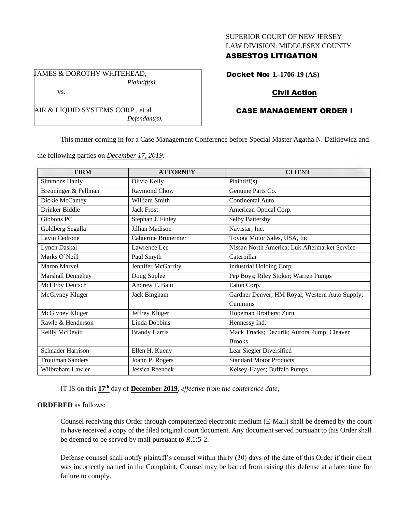#### SUPERIOR COURT OF NEW JERSEY LAW DIVISION: MIDDLESEX COUNTY

## ASBESTOS LITIGATION

Docket No: **L-1706-19 (AS)**

# Civil Action

# CASE MANAGEMENT ORDER I

This matter coming in for a Case Management Conference before Special Master Agatha N. Dzikiewicz and

the following parties on *December 17, 2019:*

*Defendant(s).*

| <b>FIRM</b>              | <b>ATTORNEY</b>      | <b>CLIENT</b>                                  |
|--------------------------|----------------------|------------------------------------------------|
| <b>Simmons Hanly</b>     | Olivia Kelly         | Plaintiff(s)                                   |
| Breuninger & Fellman     | Raymond Chow         | Genuine Parts Co.                              |
| Dickie McCamey           | William Smith        | Continental Auto                               |
| Drinker Biddle           | <b>Jack Frost</b>    | American Optical Corp.                         |
| Gibbons PC               | Stephan J. Finley    | Selby Battersby                                |
| Goldberg Segalla         | Jillian Madison      | Navistar, Inc.                                 |
| Lavin Cedrone            | Cahterine Brunermer  | Toyota Motor Sales, USA, Inc.                  |
| Lynch Daskal             | Lawrence Lee         | Nissan North America; Luk Aftermarket Service  |
| Marks O'Neill            | Paul Smyth           | Caterpillar                                    |
| <b>Maron Marvel</b>      | Jennifer McGarrity   | Industrial Holding Corp.                       |
| Marshall Dennehey        | Doug Suplee          | Pep Boys; Riley Stoker; Warren Pumps           |
| McElroy Deutsch          | Andrew F. Bain       | Eaton Corp.                                    |
| McGivney Kluger          | Jack Bingham         | Gardner Denver; HM Royal; Western Auto Supply; |
|                          |                      | Cummins                                        |
| McGivney Kluger          | Jeffrey Kluger       | Hopeman Brothers; Zurn                         |
| Rawle & Henderson        | Linda Dobbins        | Hennessy Ind.                                  |
| Reilly McDevitt          | <b>Brandy Harris</b> | Mack Trucks; Dezurik; Aurora Pump; Cleaver     |
|                          |                      | <b>Brooks</b>                                  |
| <b>Schnader Harrison</b> | Ellen H. Kueny       | Lear Siegler Diversified                       |
| <b>Troutman Sanders</b>  | Joann P. Rogers      | <b>Standard Motor Products</b>                 |
| Wilbraham Lawler         | Jessica Reenock      | Kelsey-Hayes; Buffalo Pumps                    |

IT IS on this **17th** day of **December 2019**, *effective from the conference date;*

#### **ORDERED** as follows:

Counsel receiving this Order through computerized electronic medium (E-Mail) shall be deemed by the court to have received a copy of the filed original court document. Any document served pursuant to this Order shall be deemed to be served by mail pursuant to *R*.1:5-2.

Defense counsel shall notify plaintiff's counsel within thirty (30) days of the date of this Order if their client was incorrectly named in the Complaint. Counsel may be barred from raising this defense at a later time for failure to comply.

JAMES & DOROTHY WHITEHEAD, *Plaintiff(s),*

AIR & LIQUID SYSTEMS CORP., et al

vs.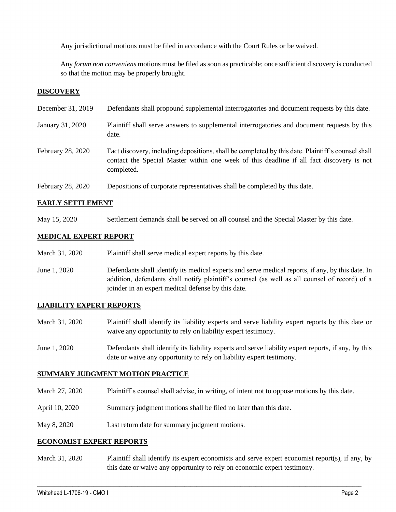Any jurisdictional motions must be filed in accordance with the Court Rules or be waived.

Any *forum non conveniens* motions must be filed as soon as practicable; once sufficient discovery is conducted so that the motion may be properly brought.

## **DISCOVERY**

| December 31, 2019 | Defendants shall propound supplemental interrogatories and document requests by this date.                                                                                                                  |
|-------------------|-------------------------------------------------------------------------------------------------------------------------------------------------------------------------------------------------------------|
| January 31, 2020  | Plaintiff shall serve answers to supplemental interrogatories and document requests by this<br>date.                                                                                                        |
| February 28, 2020 | Fact discovery, including depositions, shall be completed by this date. Plaintiff's counsel shall<br>contact the Special Master within one week of this deadline if all fact discovery is not<br>completed. |
| February 28, 2020 | Depositions of corporate representatives shall be completed by this date.                                                                                                                                   |

### **EARLY SETTLEMENT**

May 15, 2020 Settlement demands shall be served on all counsel and the Special Master by this date.

## **MEDICAL EXPERT REPORT**

- March 31, 2020 Plaintiff shall serve medical expert reports by this date.
- June 1, 2020 Defendants shall identify its medical experts and serve medical reports, if any, by this date. In addition, defendants shall notify plaintiff's counsel (as well as all counsel of record) of a joinder in an expert medical defense by this date.

### **LIABILITY EXPERT REPORTS**

- March 31, 2020 Plaintiff shall identify its liability experts and serve liability expert reports by this date or waive any opportunity to rely on liability expert testimony.
- June 1, 2020 Defendants shall identify its liability experts and serve liability expert reports, if any, by this date or waive any opportunity to rely on liability expert testimony.

### **SUMMARY JUDGMENT MOTION PRACTICE**

- March 27, 2020 Plaintiff's counsel shall advise, in writing, of intent not to oppose motions by this date.
- April 10, 2020 Summary judgment motions shall be filed no later than this date.
- May 8, 2020 Last return date for summary judgment motions.

#### **ECONOMIST EXPERT REPORTS**

March 31, 2020 Plaintiff shall identify its expert economists and serve expert economist report(s), if any, by this date or waive any opportunity to rely on economic expert testimony.

 $\_$  , and the set of the set of the set of the set of the set of the set of the set of the set of the set of the set of the set of the set of the set of the set of the set of the set of the set of the set of the set of th